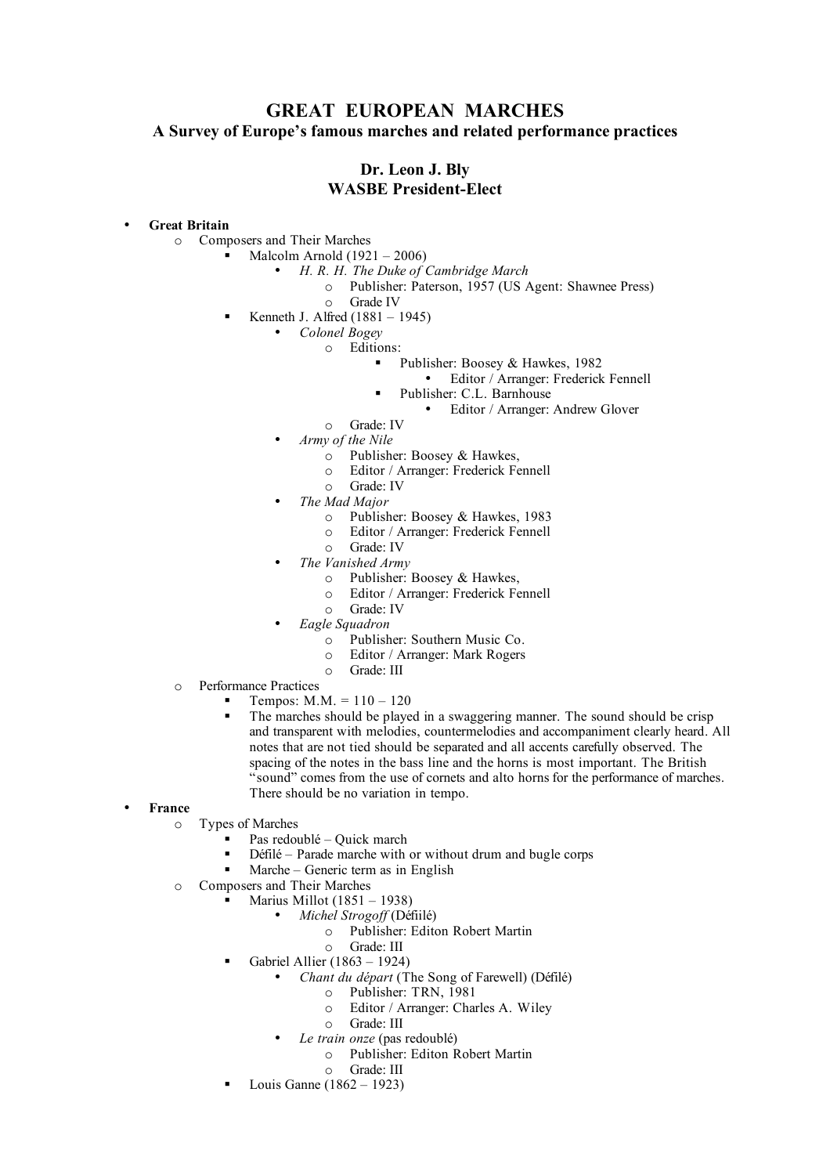# **GREAT EUROPEAN MARCHES A Survey of Europe's famous marches and related performance practices**

## **Dr. Leon J. Bly WASBE President-Elect**

## • **Great Britain**

o Composers and Their Marches

- Malcolm Arnold (1921 2006)
	- *H. R. H. The Duke of Cambridge March*
		- o Publisher: Paterson, 1957 (US Agent: Shawnee Press)
			- o Grade IV
	- Kenneth J. Alfred (1881 1945)

• *Colonel Bogey*

- o Editions:
	- Publisher: Boosey & Hawkes, 1982
		- Editor / Arranger: Frederick Fennell
	- Publisher: C.L. Barnhouse
		- Editor / Arranger: Andrew Glover
- o Grade: IV
- *Army of the Nile*
	- $\circ$  Publisher: Boosey & Hawkes,
	- o Editor / Arranger: Frederick Fennell
- o Grade: IV
- *The Mad Major*
	- o Publisher: Boosey & Hawkes, 1983
	- o Editor / Arranger: Frederick Fennell
	- o Grade: IV
- *The Vanished Army*
	- o Publisher: Boosey & Hawkes,
	- o Editor / Arranger: Frederick Fennell
	- o Grade: IV
- *Eagle Squadron*
	- o Publisher: Southern Music Co.
	- o Editor / Arranger: Mark Rogers
	- o Grade: III
- o Performance Practices
	- Tempos:  $M.M. = 110 120$
	- The marches should be played in a swaggering manner. The sound should be crisp and transparent with melodies, countermelodies and accompaniment clearly heard. All notes that are not tied should be separated and all accents carefully observed. The spacing of the notes in the bass line and the horns is most important. The British "sound" comes from the use of cornets and alto horns for the performance of marches. There should be no variation in tempo.
- **France**
	- o Types of Marches
		- Pas redoublé Quick march
			- Défilé Parade marche with or without drum and bugle corps
			- Marche Generic term as in English
	- o Composers and Their Marches
		- $\blacksquare$  Marius Millot (1851 1938)
			- *Michel Strogoff* (Défiilé)
				- o Publisher: Editon Robert Martin
				- o Grade: III
		- Gabriel Allier  $(1863 1924)$ 
			- *Chant du départ* (The Song of Farewell) (Défilé)
				- o Publisher: TRN, 1981
					- o Editor / Arranger: Charles A. Wiley
					- o Grade: III
			- *Le train onze* (pas redoublé)
				- o Publisher: Editon Robert Martin
				- o Grade: III
		- Louis Ganne  $(1862 1923)$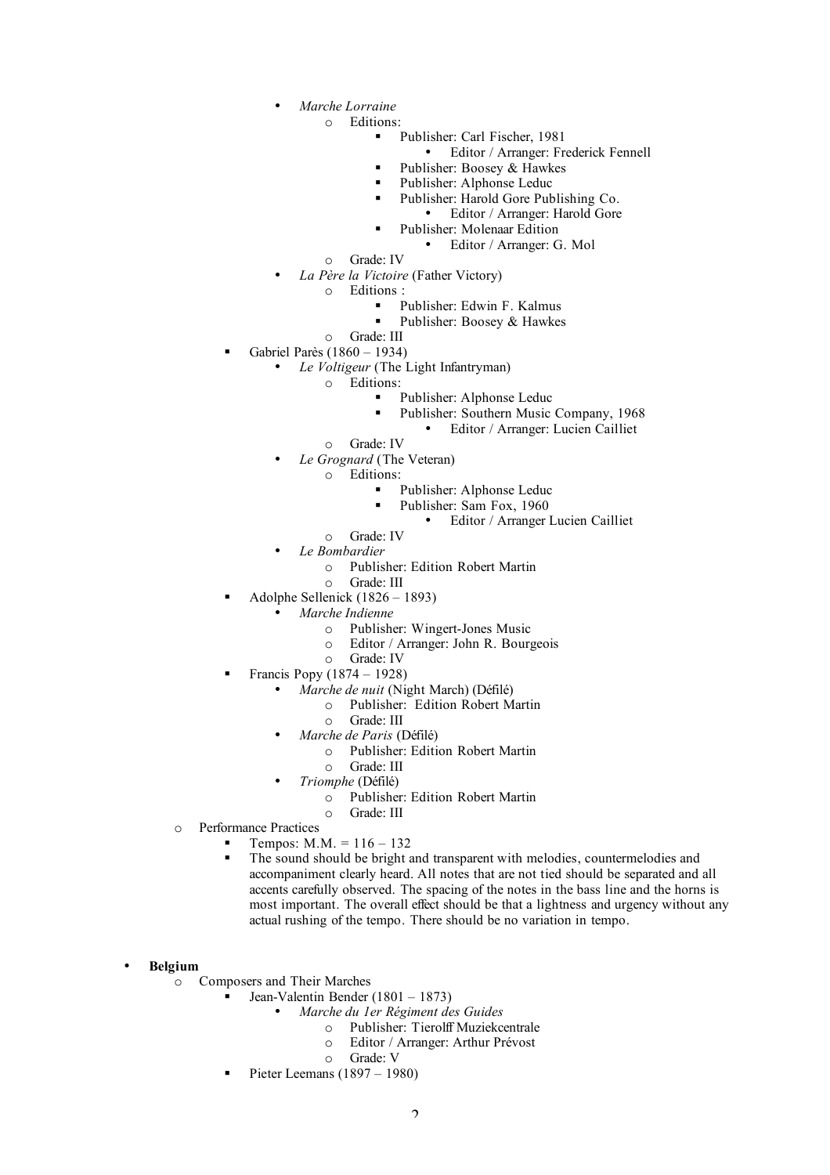- *Marche Lorraine*
	- o Editions:
		- Publisher: Carl Fischer, 1981
			- Editor / Arranger: Frederick Fennell
		- Publisher: Boosey & Hawkes
		- **Publisher: Alphonse Leduc**
		- Publisher: Harold Gore Publishing Co.
			- Editor / Arranger: Harold Gore
		- Publisher: Molenaar Edition
			- Editor / Arranger: G. Mol
	- o Grade: IV
- *La Père la Victoire* (Father Victory)
	- o Editions :
		- Publisher: Edwin F. Kalmus
			- Publisher: Boosey & Hawkes
- o Grade: III
- Gabriel Parès (1860 1934)
	- *Le Voltigeur* (The Light Infantryman)
		- Editions:
			- **Publisher: Alphonse Leduc** 
				- Publisher: Southern Music Company, 1968
					- Editor / Arranger: Lucien Cailliet
		- o Grade: IV
		- *Le Grognard* (The Veteran)
			- o Editions:
				- Publisher: Alphonse Leduc
					- Publisher: Sam Fox, 1960
						- Editor / Arranger Lucien Cailliet
		- o Grade: IV
	- *Le Bombardier*
		- o Publisher: Edition Robert Martin
	- o Grade: III
- Adolphe Sellenick (1826 1893)
	- *Marche Indienne*
		- o Publisher: Wingert-Jones Music
		- o Editor / Arranger: John R. Bourgeois
	- o Grade: IV
- Francis Popy (1874 1928)
	- *Marche de nuit* (Night March) (Défilé)
		- o Publisher: Edition Robert Martin
			- o Grade: III
	- *Marche de Paris* (Défilé)
		- o Publisher: Edition Robert Martin
		- o Grade: III
		- *Triomphe* (Défilé)
			- o Publisher: Edition Robert Martin
			- o Grade: III
- o Performance Practices
	- **Tempos:**  $M.M. = 116 132$
	- The sound should be bright and transparent with melodies, countermelodies and accompaniment clearly heard. All notes that are not tied should be separated and all accents carefully observed. The spacing of the notes in the bass line and the horns is most important. The overall effect should be that a lightness and urgency without any actual rushing of the tempo. There should be no variation in tempo.

### • **Belgium**

- o Composers and Their Marches
	- **Jean-Valentin Bender** (1801 1873)
		- *Marche du 1er Régiment des Guides*
			- o Publisher: Tierolff Muziekcentrale
			- o Editor / Arranger: Arthur Prévost
			- o Grade: V
		- Pieter Leemans (1897 1980)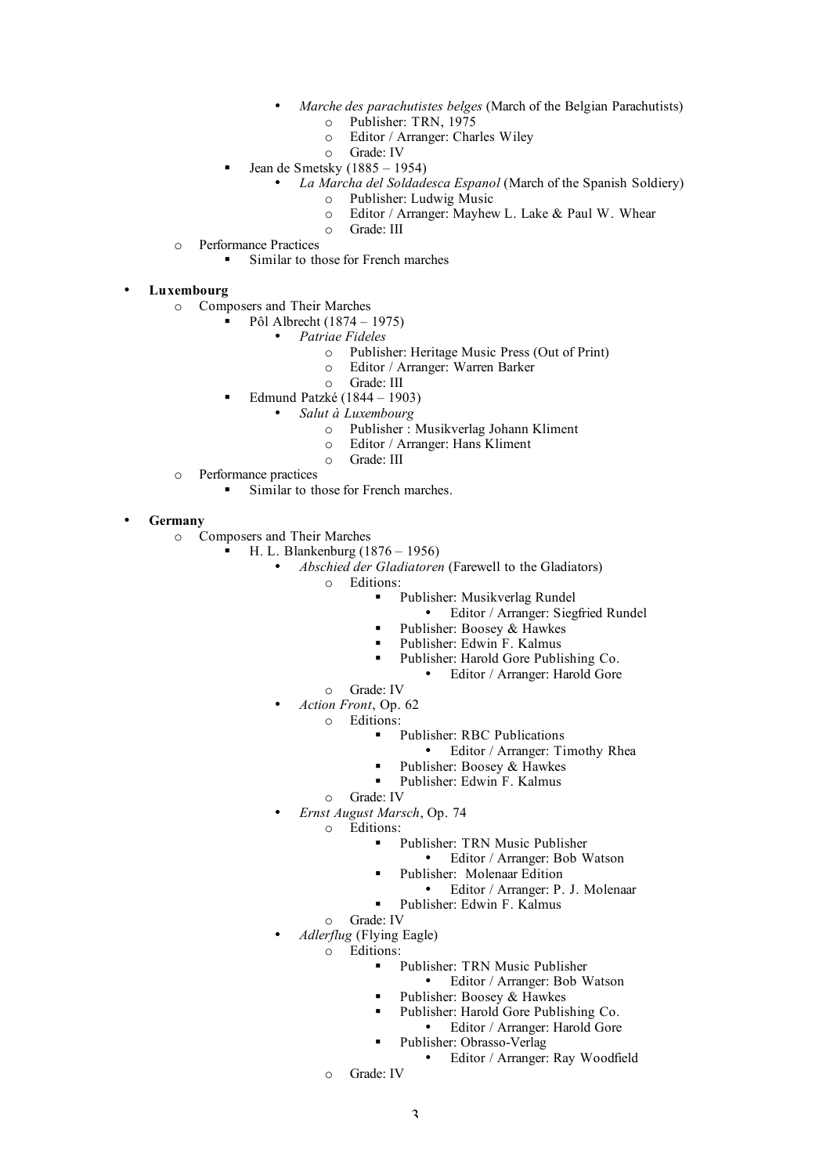- *Marche des parachutistes belges* (March of the Belgian Parachutists)
	- o Publisher: TRN, 1975
	- o Editor / Arranger: Charles Wiley
	- o Grade: IV
- $\blacksquare$  Jean de Smetsky (1885 1954)
	- *La Marcha del Soldadesca Espanol* (March of the Spanish Soldiery)
		- o Publisher: Ludwig Music
		- o Editor / Arranger: Mayhew L. Lake & Paul W. Whear
		- o Grade: III
- o Performance Practices
	- Similar to those for French marches

## • **Luxembourg**

- o Composers and Their Marches
	- Pôl Albrecht (1874 1975)
		- *Patriae Fideles*
			- o Publisher: Heritage Music Press (Out of Print)
			- o Editor / Arranger: Warren Barker
			- o Grade: III
		- Edmund Patzké (1844 1903)
			- *Salut à Luxembourg*
				- o Publisher : Musikverlag Johann Kliment
				- o Editor / Arranger: Hans Kliment
				- o Grade: III
- o Performance practices
	- Similar to those for French marches.

• **Germany**

- o Composers and Their Marches
	- H. L. Blankenburg (1876 1956)
		- *Abschied der Gladiatoren* (Farewell to the Gladiators)
			- o Editions:
				- Publisher: Musikverlag Rundel
					- Editor / Arranger: Siegfried Rundel
				- Publisher: Boosey & Hawkes
				- Publisher: Edwin F. Kalmus
				- **Publisher: Harold Gore Publishing Co.** 
					- Editor / Arranger: Harold Gore
			- o Grade: IV
			- *Action Front*, Op. 62
				- o Editions:
					- Publisher: RBC Publications
						- Editor / Arranger: Timothy Rhea
					- Publisher: Boosey & Hawkes
					- Publisher: Edwin F. Kalmus
					- o Grade: IV
		- *Ernst August Marsch*, Op. 74
			- o Editions:
				- Publisher: TRN Music Publisher
					- Editor / Arranger: Bob Watson
					- Publisher: Molenaar Edition
						- Editor / Arranger: P. J. Molenaar
				- Publisher: Edwin F. Kalmus
			- o Grade: IV
		- *Adlerflug* (Flying Eagle)
			- o Editions:
				- **Publisher: TRN Music Publisher** 
					- Editor / Arranger: Bob Watson
					- Publisher: Boosey & Hawkes
				- Publisher: Harold Gore Publishing Co.
					- Editor / Arranger: Harold Gore
				- Publisher: Obrasso-Verlag
					- Editor / Arranger: Ray Woodfield
				- o Grade: IV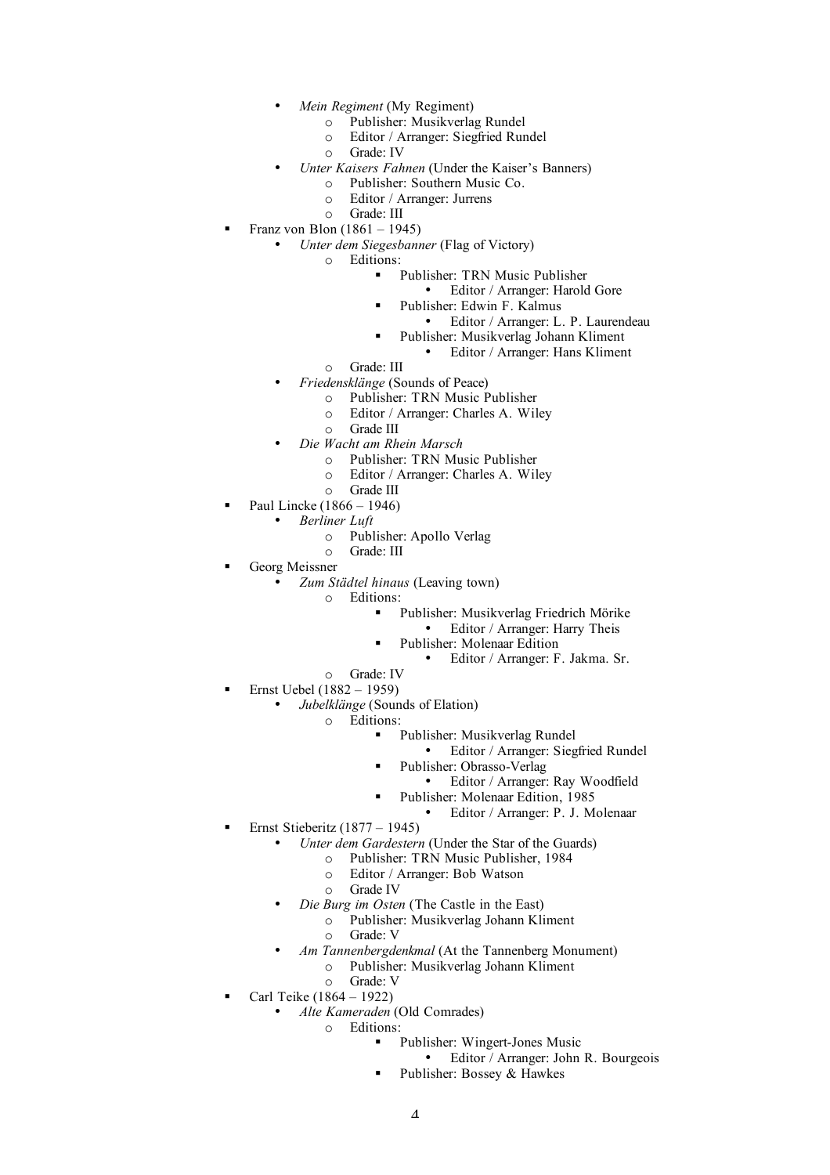- *Mein Regiment* (My Regiment)
	- o Publisher: Musikverlag Rundel
	- o Editor / Arranger: Siegfried Rundel
	- o Grade: IV
- *Unter Kaisers Fahnen* (Under the Kaiser's Banners)
	- o Publisher: Southern Music Co.
		- o Editor / Arranger: Jurrens
	- o Grade: III
- Franz von Blon (1861 1945)
	- *Unter dem Siegesbanner* (Flag of Victory)
		- o Editions:
			- Publisher: TRN Music Publisher
				- Editor / Arranger: Harold Gore
				- Publisher: Edwin F. Kalmus
					- Editor / Arranger: L. P. Laurendeau
			- Publisher: Musikverlag Johann Kliment
				- Editor / Arranger: Hans Kliment
		- o Grade: III
	- *Friedensklänge* (Sounds of Peace)
		- o Publisher: TRN Music Publisher
		- o Editor / Arranger: Charles A. Wiley
		- o Grade III
	- *Die Wacht am Rhein Marsch*
		- o Publisher: TRN Music Publisher
		- o Editor / Arranger: Charles A. Wiley
	- o Grade III
- Paul Lincke (1866 1946)
	- *Berliner Luft*
		- o Publisher: Apollo Verlag
		- o Grade: III
- Georg Meissner
	- *Zum Städtel hinaus* (Leaving town)
		- o Editions:
			- Publisher: Musikverlag Friedrich Mörike
			- Editor / Arranger: Harry Theis
			- Publisher: Molenaar Edition
				- Editor / Arranger: F. Jakma. Sr.
		- o Grade: IV
- Ernst Uebel (1882 1959)
	- *Jubelklänge* (Sounds of Elation)
		- o Editions:
			- Publisher: Musikverlag Rundel
				- Editor / Arranger: Siegfried Rundel
				- Publisher: Obrasso-Verlag
					- Editor / Arranger: Ray Woodfield
				- Publisher: Molenaar Edition, 1985
					- Editor / Arranger: P. J. Molenaar
- Ernst Stieberitz (1877 1945)
	- *Unter dem Gardestern* (Under the Star of the Guards)
		- o Publisher: TRN Music Publisher, 1984
		- o Editor / Arranger: Bob Watson
		- o Grade IV
	- *Die Burg im Osten* (The Castle in the East)
		- o Publisher: Musikverlag Johann Kliment o Grade: V
		- *Am Tannenbergdenkmal* (At the Tannenberg Monument)
			- o Publisher: Musikverlag Johann Kliment o Grade: V
	- Carl Teike (1864 1922)
		- *Alte Kameraden* (Old Comrades)
			- o Editions:
				- Publisher: Wingert-Jones Music
					- Editor / Arranger: John R. Bourgeois
				- Publisher: Bossey & Hawkes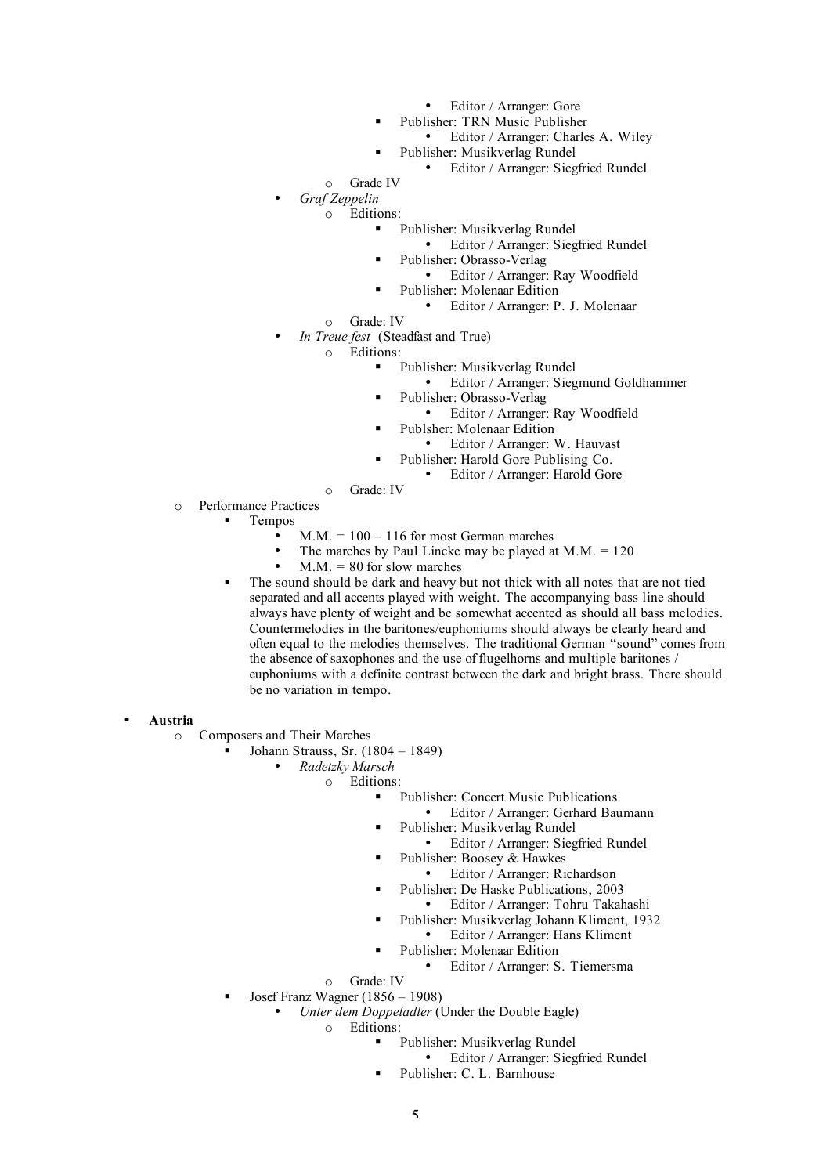- Editor / Arranger: Gore
- Publisher: TRN Music Publisher
- Editor / Arranger: Charles A. Wiley Publisher: Musikverlag Rundel
- 
- Editor / Arranger: Siegfried Rundel
- o Grade IV
- *Graf Zeppelin*
	- o Editions:
		- Publisher: Musikverlag Rundel
			- Editor / Arranger: Siegfried Rundel
		- Publisher: Obrasso-Verlag
			- Editor / Arranger: Ray Woodfield
		- Publisher: Molenaar Edition
			- Editor / Arranger: P. J. Molenaar
		- o Grade: IV
- *In Treue fest* (Steadfast and True)
	- o Editions:
		- Publisher: Musikverlag Rundel
			- Editor / Arranger: Siegmund Goldhammer
		- Publisher: Obrasso-Verlag
			- Editor / Arranger: Ray Woodfield
		- Publsher: Molenaar Edition
			- Editor / Arranger: W. Hauvast
		- Publisher: Harold Gore Publising Co.
			- Editor / Arranger: Harold Gore
		- o Grade: IV
- o Performance Practices
	- Tempos
		- $M.M. = 100 116$  for most German marches
		- The marches by Paul Lincke may be played at  $M.M. = 120$
		- $M.M. = 80$  for slow marches
		- The sound should be dark and heavy but not thick with all notes that are not tied separated and all accents played with weight. The accompanying bass line should always have plenty of weight and be somewhat accented as should all bass melodies. Countermelodies in the baritones/euphoniums should always be clearly heard and often equal to the melodies themselves. The traditional German "sound" comes from the absence of saxophones and the use of flugelhorns and multiple baritones / euphoniums with a definite contrast between the dark and bright brass. There should be no variation in tempo.
- **Austria**
	- o Composers and Their Marches
		- Johann Strauss, Sr. (1804 1849)
			- *Radetzky Marsch*
				- o Editions:
					- Publisher: Concert Music Publications
						- Editor / Arranger: Gerhard Baumann
						- Publisher: Musikverlag Rundel
							- Editor / Arranger: Siegfried Rundel
					- Publisher: Boosey & Hawkes
						- Editor / Arranger: Richardson
					- Publisher: De Haske Publications, 2003
					- Editor / Arranger: Tohru Takahashi
					- Publisher: Musikverlag Johann Kliment, 1932
						- Editor / Arranger: Hans Kliment
						- Publisher: Molenaar Edition
							- Editor / Arranger: S. Tiemersma
				- o Grade: IV
		- Josef Franz Wagner (1856 1908)
			- *Unter dem Doppeladler* (Under the Double Eagle)
				- o Editions:
					- Publisher: Musikverlag Rundel
						- Editor / Arranger: Siegfried Rundel
					- Publisher: C. L. Barnhouse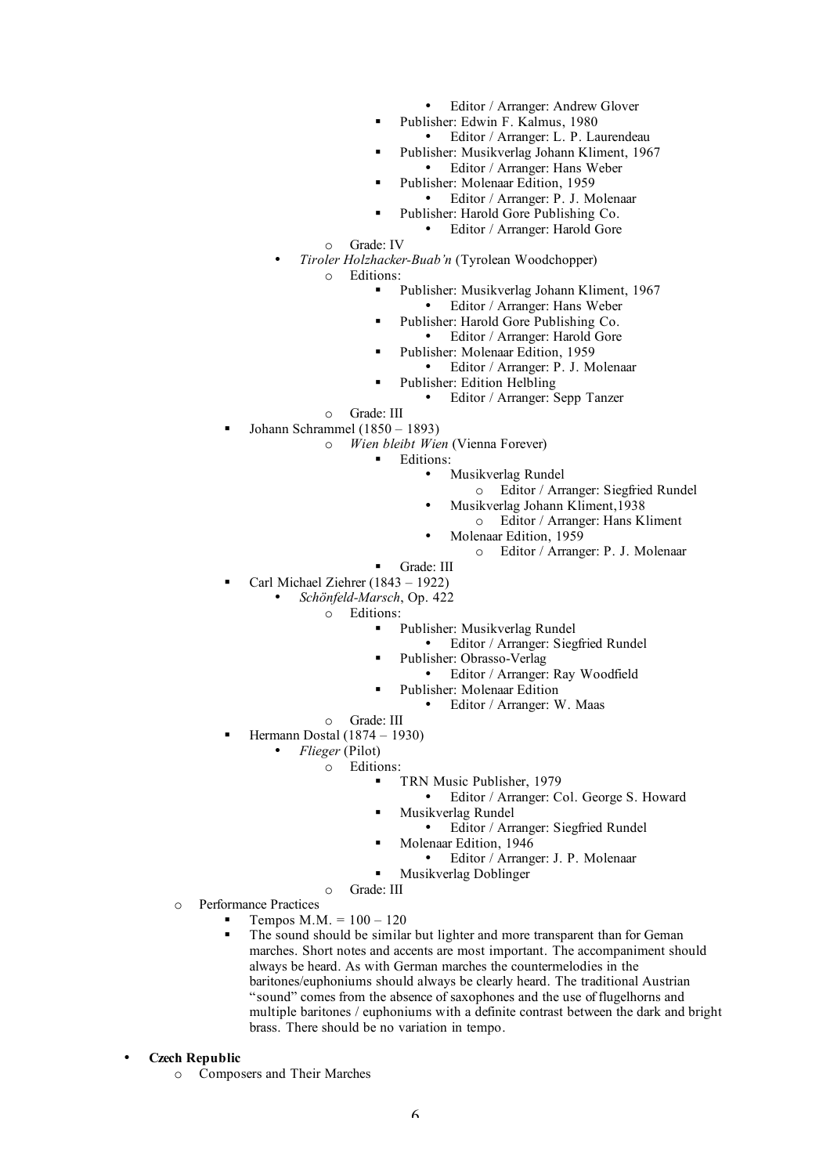- Editor / Arranger: Andrew Glover
- Publisher: Edwin F. Kalmus, 1980
	- Editor / Arranger: L. P. Laurendeau
- Publisher: Musikverlag Johann Kliment, 1967 • Editor / Arranger: Hans Weber
- Publisher: Molenaar Edition, 1959
- Editor / Arranger: P. J. Molenaar
- Publisher: Harold Gore Publishing Co.
	- Editor / Arranger: Harold Gore

o Grade: IV

- *Tiroler Holzhacker-Buab'n* (Tyrolean Woodchopper)
	- o Editions:
		- Publisher: Musikverlag Johann Kliment, 1967
			- Editor / Arranger: Hans Weber
			- Publisher: Harold Gore Publishing Co.
				- Editor / Arranger: Harold Gore
			- Publisher: Molenaar Edition, 1959
				- Editor / Arranger: P. J. Molenaar
			- Publisher: Edition Helbling
				- Editor / Arranger: Sepp Tanzer
	- o Grade: III
- Johann Schrammel (1850 1893)
	- o *Wien bleibt Wien* (Vienna Forever)
		- Editions:
			- Musikverlag Rundel
				- o Editor / Arranger: Siegfried Rundel
				- Musikverlag Johann Kliment,1938
				- o Editor / Arranger: Hans Kliment
			- Molenaar Edition, 1959
				- o Editor / Arranger: P. J. Molenaar
			- Grade: III
- Carl Michael Ziehrer (1843 1922)
	- *Schönfeld-Marsch*, Op. 422

o Editions:

- Publisher: Musikverlag Rundel
	- Editor / Arranger: Siegfried Rundel
- Publisher: Obrasso-Verlag
	- Editor / Arranger: Ray Woodfield
- Publisher: Molenaar Edition
	- Editor / Arranger: W. Maas
- o Grade: III
- Hermann Dostal (1874 1930)
	- *Flieger* (Pilot)
		- o Editions:
			- **TRN Music Publisher, 1979** 
				- Editor / Arranger: Col. George S. Howard
				- Musikverlag Rundel
					- Editor / Arranger: Siegfried Rundel
				- Molenaar Edition, 1946
					- Editor / Arranger: J. P. Molenaar
			- **Musikverlag Doblinger**
		- o Grade: III
- o Performance Practices
	- Tempos M.M. =  $100 120$
	- The sound should be similar but lighter and more transparent than for Geman marches. Short notes and accents are most important. The accompaniment should always be heard. As with German marches the countermelodies in the baritones/euphoniums should always be clearly heard. The traditional Austrian "sound" comes from the absence of saxophones and the use of flugelhorns and multiple baritones / euphoniums with a definite contrast between the dark and bright brass. There should be no variation in tempo.
- **Czech Republic**
	- o Composers and Their Marches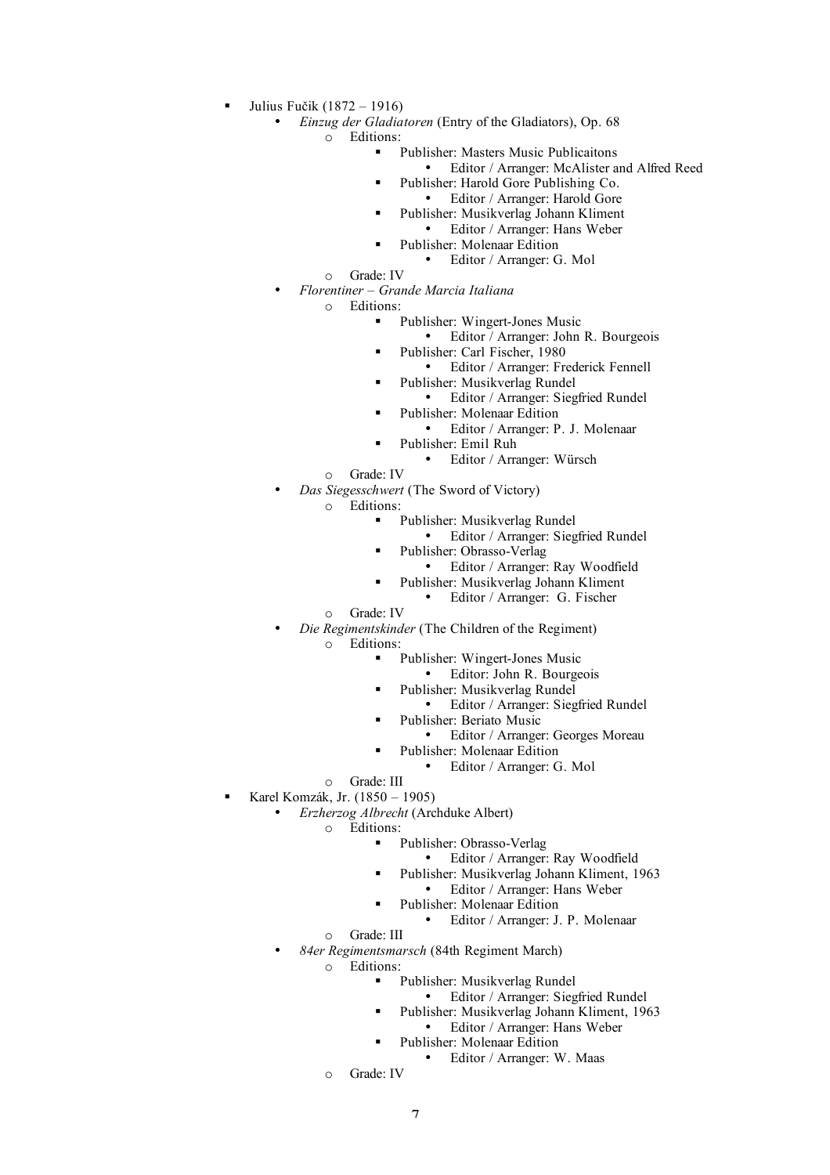- Julius Fučik (1872 1916)
	- *Einzug der Gladiatoren* (Entry of the Gladiators), Op. 68

o Editions:

- Publisher: Masters Music Publicaitons
	- Editor / Arranger: McAlister and Alfred Reed
		- Publisher: Harold Gore Publishing Co.
		- Editor / Arranger: Harold Gore
	- Publisher: Musikverlag Johann Kliment
		- Editor / Arranger: Hans Weber
		- Publisher: Molenaar Edition
			- Editor / Arranger: G. Mol
- o Grade: IV
- *Florentiner – Grande Marcia Italiana*

o Editions:

- Publisher: Wingert-Jones Music
	- Editor / Arranger: John R. Bourgeois
- Publisher: Carl Fischer, 1980
	- Editor / Arranger: Frederick Fennell
	- Publisher: Musikverlag Rundel
	- Editor / Arranger: Siegfried Rundel
- Publisher: Molenaar Edition
	- Editor / Arranger: P. J. Molenaar
	- Publisher: Emil Ruh
		- Editor / Arranger: Würsch
- o Grade: IV
- *Das Siegesschwert* (The Sword of Victory)
	- o Editions:
		- Publisher: Musikverlag Rundel
			- Editor / Arranger: Siegfried Rundel
		- Publisher: Obrasso-Verlag
			- Editor / Arranger: Ray Woodfield
		- Publisher: Musikverlag Johann Kliment
			- Editor / Arranger: G. Fischer
		- o Grade: IV
- *Die Regimentskinder* (The Children of the Regiment)
	- o Editions:
		- Publisher: Wingert-Jones Music
			- Editor: John R. Bourgeois
			- Publisher: Musikverlag Rundel
			- Editor / Arranger: Siegfried Rundel
				- Publisher: Beriato Music
					- Editor / Arranger: Georges Moreau
			- Publisher: Molenaar Edition
				- Editor / Arranger: G. Mol
	- o Grade: III
- Karel Komzák, Jr. (1850 1905)
	- *Erzherzog Albrecht* (Archduke Albert)
		- o Editions:
			- Publisher: Obrasso-Verlag
				- Editor / Arranger: Ray Woodfield
				- Publisher: Musikverlag Johann Kliment, 1963
				- Editor / Arranger: Hans Weber
			- Publisher: Molenaar Edition
				- Editor / Arranger: J. P. Molenaar
		- o Grade: III
		- *84er Regimentsmarsch* (84th Regiment March)

o Editions:

- Publisher: Musikverlag Rundel
	- Editor / Arranger: Siegfried Rundel
- Publisher: Musikverlag Johann Kliment, 1963
	- Editor / Arranger: Hans Weber
- Publisher: Molenaar Edition
	- Editor / Arranger: W. Maas
- o Grade: IV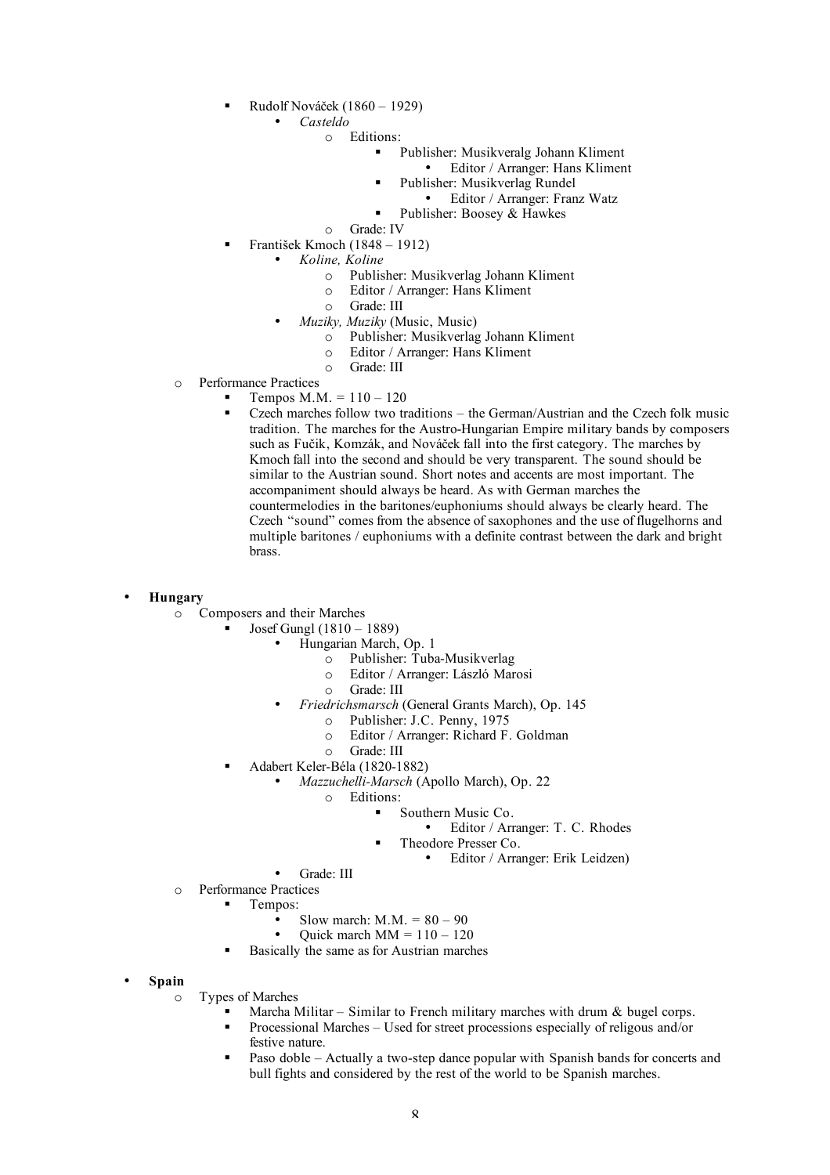- Rudolf Nováček (1860 1929)
	- *Casteldo*
		- o Editions:
			- Publisher: Musikveralg Johann Kliment
				- Editor / Arranger: Hans Kliment
				- Publisher: Musikverlag Rundel
					- Editor / Arranger: Franz Watz
				- Publisher: Boosey & Hawkes
		- o Grade: IV
- František Kmoch (1848 1912)
	- *Koline, Koline*
		- o Publisher: Musikverlag Johann Kliment
		- o Editor / Arranger: Hans Kliment
		- o Grade: III
		- *Muziky, Muziky* (Music, Music)
			- o Publisher: Musikverlag Johann Kliment
			- o Editor / Arranger: Hans Kliment
			- o Grade: III
- o Performance Practices
	- **Tempos M.M.** =  $110 120$
	- Czech marches follow two traditions the German/Austrian and the Czech folk music tradition. The marches for the Austro-Hungarian Empire military bands by composers such as Fučik, Komzák, and Nováček fall into the first category. The marches by Kmoch fall into the second and should be very transparent. The sound should be similar to the Austrian sound. Short notes and accents are most important. The accompaniment should always be heard. As with German marches the countermelodies in the baritones/euphoniums should always be clearly heard. The Czech "sound" comes from the absence of saxophones and the use of flugelhorns and multiple baritones / euphoniums with a definite contrast between the dark and bright brass.

### • **Hungary**

- o Composers and their Marches
	- Josef Gungl (1810 1889)
		- Hungarian March, Op. 1
			- o Publisher: Tuba-Musikverlag
			- o Editor / Arranger: László Marosi
			- o Grade: III
		- *Friedrichsmarsch* (General Grants March), Op. 145
			- o Publisher: J.C. Penny, 1975
			- o Editor / Arranger: Richard F. Goldman
			- o Grade: III
	- Adabert Keler-Béla (1820-1882)
		- *Mazzuchelli-Marsch* (Apollo March), Op. 22
			- o Editions:
				- Southern Music Co.
					- Editor / Arranger: T. C. Rhodes
					- Theodore Presser Co.
						- Editor / Arranger: Erik Leidzen)
		- Grade: III
- o Performance Practices
	- **T**empos:
		- Slow march:  $M.M. = 80 90$
		- Quick march  $MM = 110 120$
	- Basically the same as for Austrian marches
- **Spain**
	- o Types of Marches
		- Marcha Militar Similar to French military marches with drum  $\&$  bugel corps.
		- Processional Marches Used for street processions especially of religous and/or festive nature.
		- Paso doble Actually a two-step dance popular with Spanish bands for concerts and bull fights and considered by the rest of the world to be Spanish marches.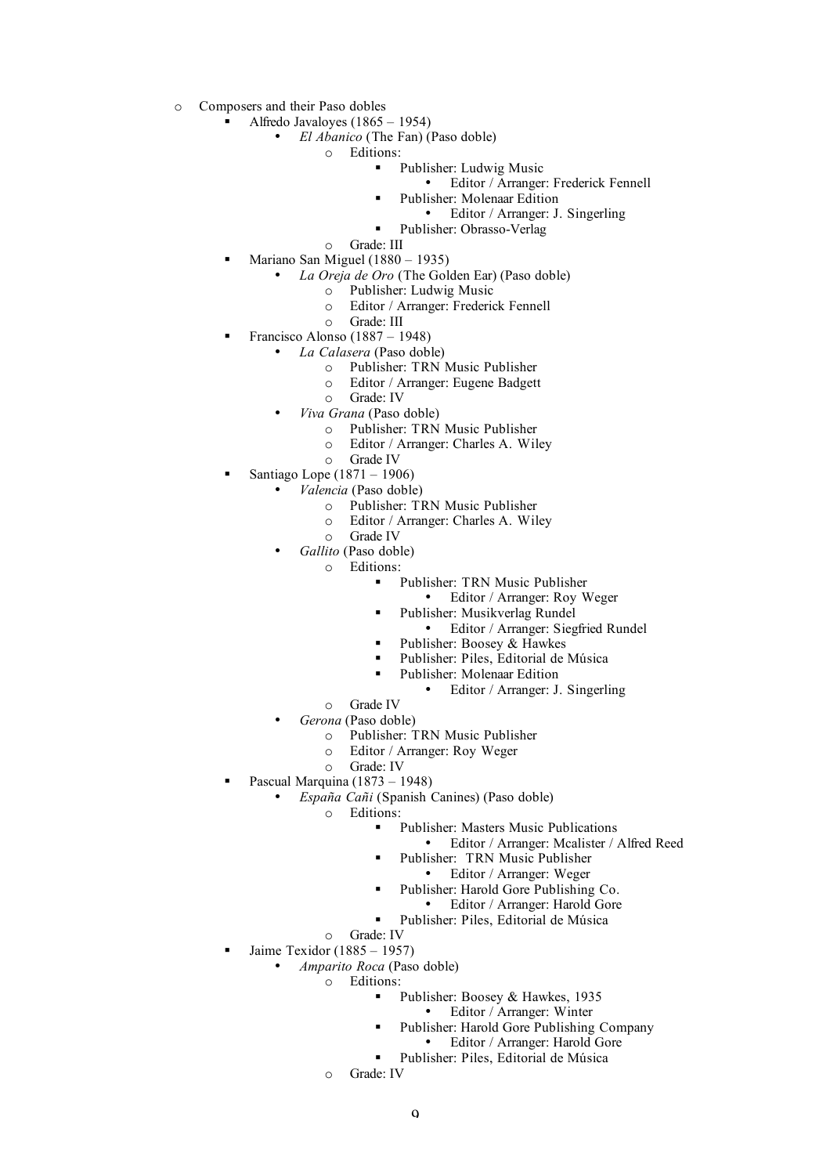- o Composers and their Paso dobles
	- Alfredo Javaloyes (1865 1954)
		- *El Abanico* (The Fan) (Paso doble)
			- o Editions:
				- Publisher: Ludwig Music
					- Editor / Arranger: Frederick Fennell
				- Publisher: Molenaar Edition
				- Editor / Arranger: J. Singerling
				- Publisher: Obrasso-Verlag
			- o Grade: III
	- **Mariano San Miguel (1880 1935)** 
		- *La Oreja de Oro* (The Golden Ear) (Paso doble)
			- o Publisher: Ludwig Music
			- o Editor / Arranger: Frederick Fennell
			- o Grade: III
	- Francisco Alonso (1887 1948)
		- *La Calasera* (Paso doble)
			- o Publisher: TRN Music Publisher
			- o Editor / Arranger: Eugene Badgett
			- o Grade: IV
		- *Viva Grana* (Paso doble)
			- o Publisher: TRN Music Publisher
			- o Editor / Arranger: Charles A. Wiley
			- o Grade IV
	- Santiago Lope (1871 1906)
		- *Valencia* (Paso doble)
			- o Publisher: TRN Music Publisher
			- o Editor / Arranger: Charles A. Wiley
			- o Grade IV
			- *Gallito* (Paso doble)
				- o Editions:
					- Publisher: TRN Music Publisher
						- Editor / Arranger: Roy Weger
					- Publisher: Musikverlag Rundel
						- Editor / Arranger: Siegfried Rundel
					- Publisher: Boosey & Hawkes
					- Publisher: Piles, Editorial de Música
					- Publisher: Molenaar Edition
						- Editor / Arranger: J. Singerling
				- o Grade IV
			- *Gerona* (Paso doble)
				- o Publisher: TRN Music Publisher
				- o Editor / Arranger: Roy Weger
				- o Grade: IV
		- Pascual Marquina (1873 1948)
			- *España Cañi* (Spanish Canines) (Paso doble)
				- o Editions:
					- Publisher: Masters Music Publications
						- Editor / Arranger: Mcalister / Alfred Reed
					- Publisher: TRN Music Publisher
						- Editor / Arranger: Weger
					- Publisher: Harold Gore Publishing Co.
						- Editor / Arranger: Harold Gore
					- Publisher: Piles, Editorial de Música
				- o Grade: IV
		- Jaime Texidor (1885 1957)
			- *Amparito Roca* (Paso doble)
				- o Editions:
					- Publisher: Boosey & Hawkes, 1935
						- Editor / Arranger: Winter
						- Publisher: Harold Gore Publishing Company
							- Editor / Arranger: Harold Gore
					- Publisher: Piles, Editorial de Música
				- o Grade: IV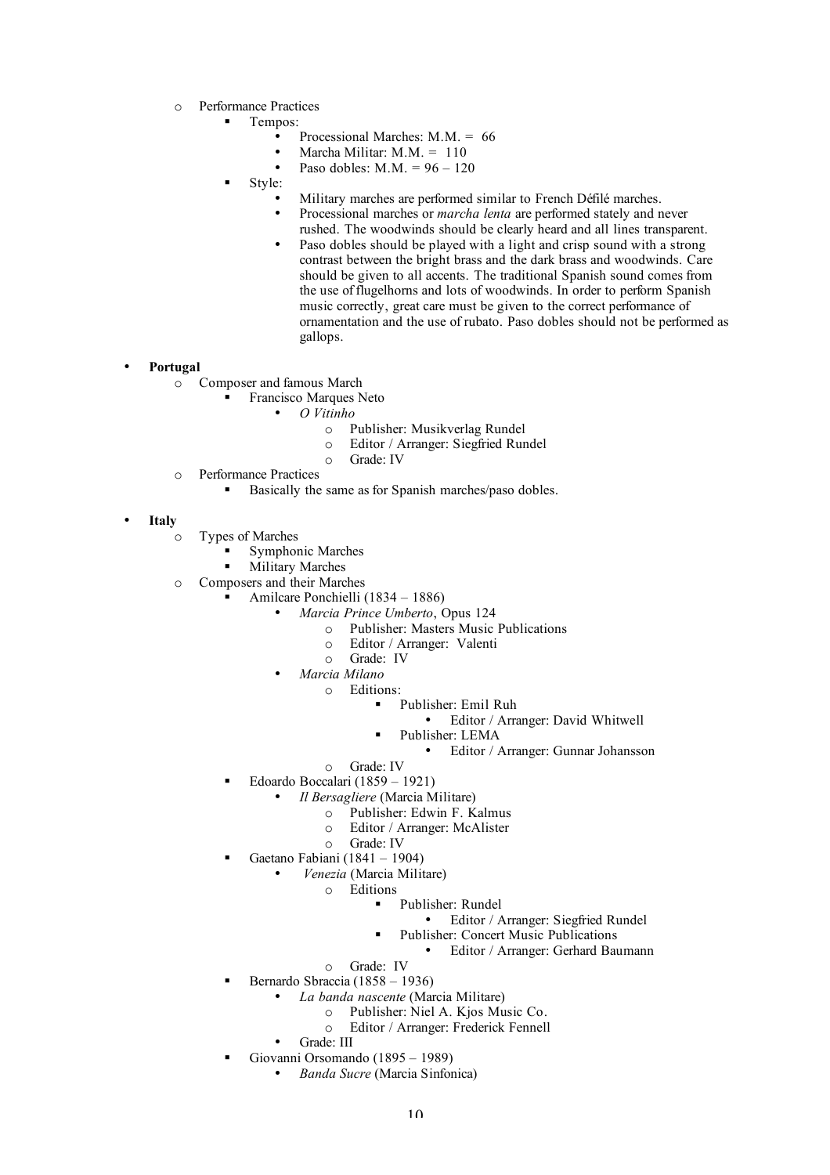- o Performance Practices
	- Tempos:
		- Processional Marches:  $M M = 66$ 
			- Marcha Militar:  $M.M. = 110$
		- Paso dobles:  $M.M. = 96 120$
		- Style:
			- Military marches are performed similar to French Défilé marches.
			- Processional marches or *marcha lenta* are performed stately and never rushed. The woodwinds should be clearly heard and all lines transparent.
			- Paso dobles should be played with a light and crisp sound with a strong contrast between the bright brass and the dark brass and woodwinds. Care should be given to all accents. The traditional Spanish sound comes from the use of flugelhorns and lots of woodwinds. In order to perform Spanish music correctly, great care must be given to the correct performance of ornamentation and the use of rubato. Paso dobles should not be performed as gallops.

#### • **Portugal**

- o Composer and famous March
	- Francisco Marques Neto
		- *O Vitinho*
			- o Publisher: Musikverlag Rundel
			- o Editor / Arranger: Siegfried Rundel
			- o Grade: IV
- o Performance Practices
	- Basically the same as for Spanish marches/paso dobles.
- **Italy**
	- o Types of Marches
		- Symphonic Marches
		- **Military Marches**
	- o Composers and their Marches
		- Amilcare Ponchielli (1834 1886)
			- *Marcia Prince Umberto*, Opus 124
				- o Publisher: Masters Music Publications
				- o Editor / Arranger: Valenti
				- o Grade: IV
			- *Marcia Milano*
				- o Editions:
					- Publisher: Emil Ruh
						- Editor / Arranger: David Whitwell
					- Publisher: LEMA
						- Editor / Arranger: Gunnar Johansson
				- o Grade: IV
		- Edoardo Boccalari (1859 1921)
			- *Il Bersagliere* (Marcia Militare)
				- o Publisher: Edwin F. Kalmus
				- o Editor / Arranger: McAlister
				- o Grade: IV
		- Gaetano Fabiani (1841 1904)
			- *Venezia* (Marcia Militare)
				- o Editions
					- Publisher: Rundel
						- Editor / Arranger: Siegfried Rundel
					- Publisher: Concert Music Publications
					- Editor / Arranger: Gerhard Baumann
				- o Grade: IV
		- Bernardo Sbraccia (1858 1936)
			- *La banda nascente* (Marcia Militare)
				- o Publisher: Niel A. Kjos Music Co.
				- o Editor / Arranger: Frederick Fennell
			- Grade: III
		- Giovanni Orsomando (1895 1989)
			- *Banda Sucre* (Marcia Sinfonica)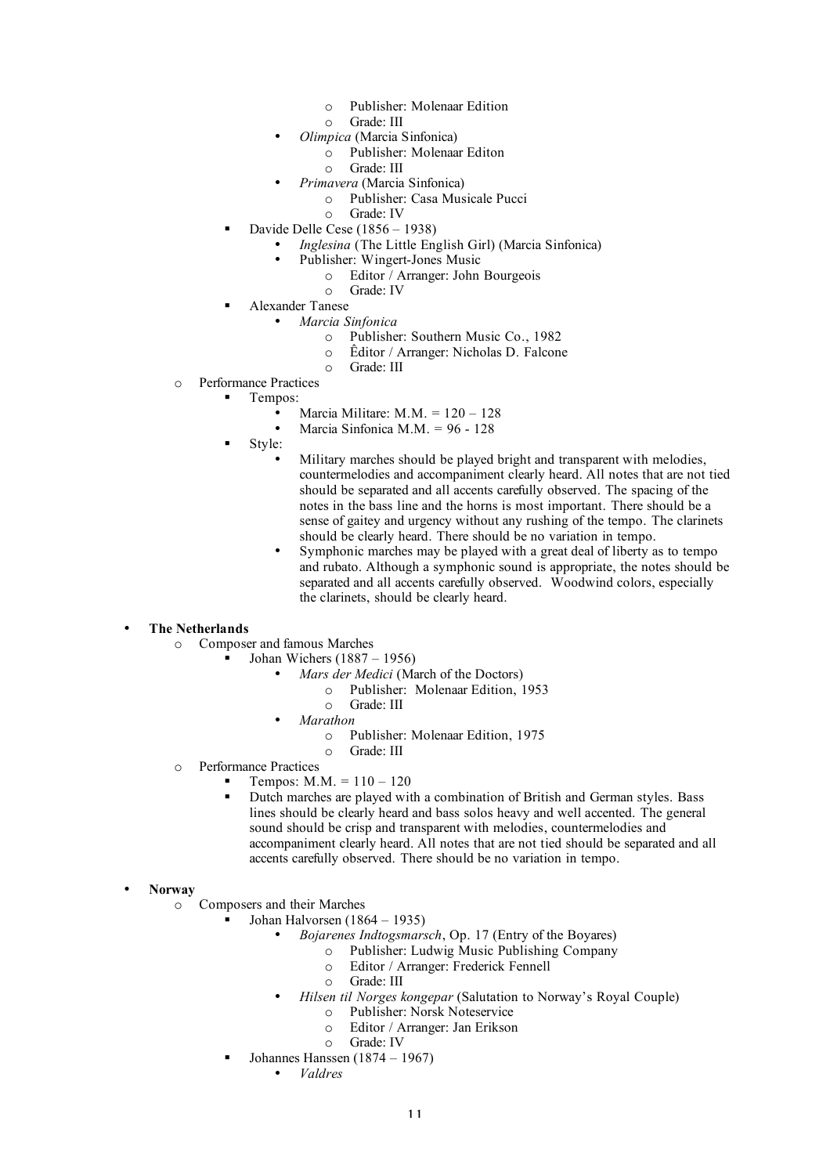- o Publisher: Molenaar Edition
- o Grade: III
- *Olimpica* (Marcia Sinfonica)
	- o Publisher: Molenaar Editon
	- o Grade: III
- *Primavera* (Marcia Sinfonica)
	- o Publisher: Casa Musicale Pucci
	- o Grade: IV
- Davide Delle Cese  $(1856 1938)$ 
	- *Inglesina* (The Little English Girl) (Marcia Sinfonica)
	- Publisher: Wingert-Jones Music
		- o Editor / Arranger: John Bourgeois
		- o Grade: IV
	- Alexander Tanese
		- *Marcia Sinfonica*
			- o Publisher: Southern Music Co., 1982
			- o Êditor / Arranger: Nicholas D. Falcone
			- o Grade: III
- o Performance Practices
	- Tempos:
		- Marcia Militare:  $M.M. = 120 128$
		- Marcia Sinfonica M.M. =  $96 128$
		- Style:
			- Military marches should be played bright and transparent with melodies, countermelodies and accompaniment clearly heard. All notes that are not tied should be separated and all accents carefully observed. The spacing of the notes in the bass line and the horns is most important. There should be a sense of gaitey and urgency without any rushing of the tempo. The clarinets should be clearly heard. There should be no variation in tempo.
			- Symphonic marches may be played with a great deal of liberty as to tempo and rubato. Although a symphonic sound is appropriate, the notes should be separated and all accents carefully observed. Woodwind colors, especially the clarinets, should be clearly heard.

## • **The Netherlands**

- o Composer and famous Marches
	- Johan Wichers (1887 1956)
		- *Mars der Medici* (March of the Doctors)
			- o Publisher: Molenaar Edition, 1953
			- o Grade: III
		- *Marathon*
			- o Publisher: Molenaar Edition, 1975
			- o Grade: III
- o Performance Practices
	- **Tempos:**  $M.M. = 110 120$
	- Dutch marches are played with a combination of British and German styles. Bass lines should be clearly heard and bass solos heavy and well accented. The general sound should be crisp and transparent with melodies, countermelodies and accompaniment clearly heard. All notes that are not tied should be separated and all accents carefully observed. There should be no variation in tempo.
- **Norway**
	- o Composers and their Marches
		- **Johan Halvorsen** (1864 1935)
			- *Bojarenes Indtogsmarsch*, Op. 17 (Entry of the Boyares)
				- o Publisher: Ludwig Music Publishing Company
				- o Editor / Arranger: Frederick Fennell
				- o Grade: III
			- *Hilsen til Norges kongepar* (Salutation to Norway's Royal Couple)
				- o Publisher: Norsk Noteservice
				- o Editor / Arranger: Jan Erikson
				- o Grade: IV
		- Johannes Hanssen (1874 1967)
			- *Valdres*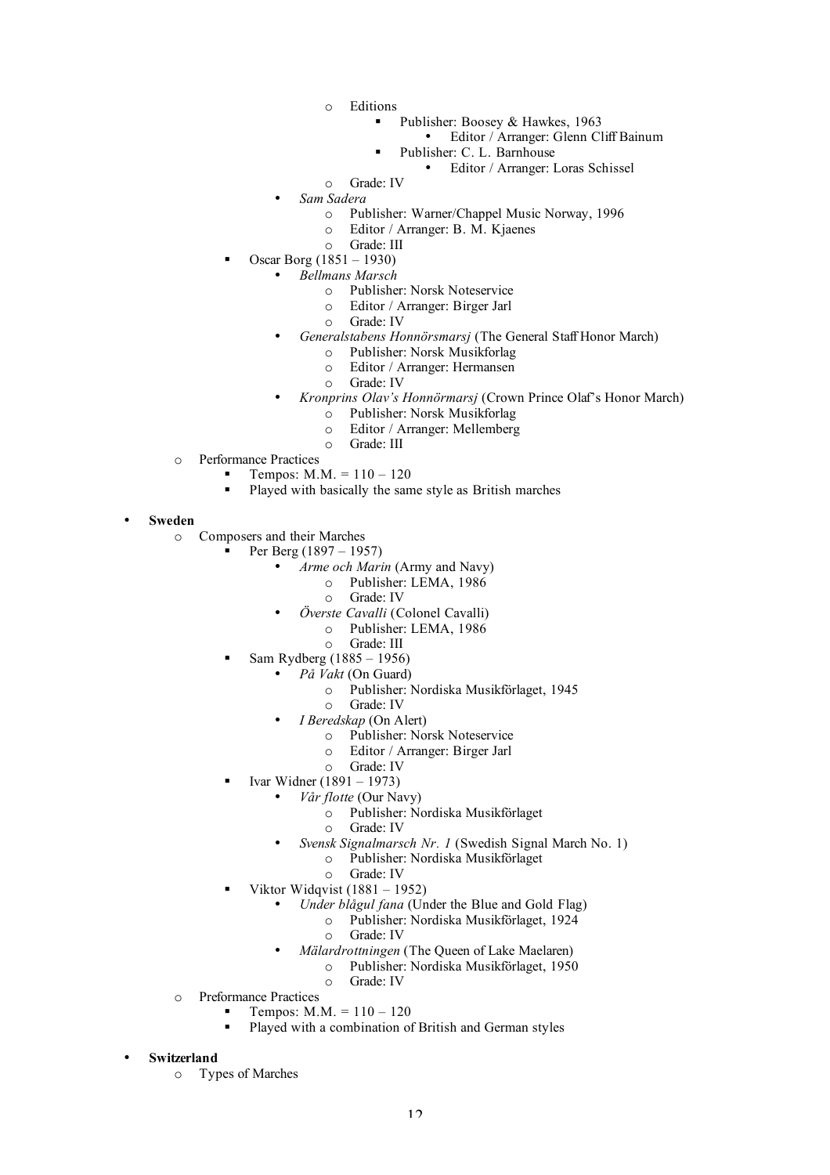- o Editions
	- Publisher: Boosey & Hawkes, 1963
		- Editor / Arranger: Glenn Cliff Bainum
		- Publisher: C. L. Barnhouse
		- Editor / Arranger: Loras Schissel
- o Grade: IV
- *Sam Sadera*
	- o Publisher: Warner/Chappel Music Norway, 1996
	- o Editor / Arranger: B. M. Kjaenes
	- o Grade: III
- Oscar Borg (1851 1930)
	- *Bellmans Marsch*
		- o Publisher: Norsk Noteservice
		- o Editor / Arranger: Birger Jarl
		- o Grade: IV
		- *Generalstabens Honnörsmarsj* (The General Staff Honor March)
			- o Publisher: Norsk Musikforlag
			- o Editor / Arranger: Hermansen
			- o Grade: IV
	- *Kronprins Olav's Honnörmarsj* (Crown Prince Olaf's Honor March)
		- o Publisher: Norsk Musikforlag
		- o Editor / Arranger: Mellemberg
		- o Grade: III
- o Performance Practices
	- Tempos:  $M.M. = 110 120$
	- Played with basically the same style as British marches
- **Sweden**
	- o Composers and their Marches
		- Per Berg (1897 1957)
			- *Arme och Marin* (Army and Navy)
				- o Publisher: LEMA, 1986
					- o Grade: IV
			- *Överste Cavalli* (Colonel Cavalli)
				- o Publisher: LEMA, 1986
				- o Grade: III
			- Sam Rydberg (1885 1956)
				- *På Vakt* (On Guard)
					- o Publisher: Nordiska Musikförlaget, 1945
					- o Grade: IV
				- *I Beredskap* (On Alert)
					- o Publisher: Norsk Noteservice
					- o Editor / Arranger: Birger Jarl
					- o Grade: IV
			- Ivar Widner (1891 1973)
				- *Vår flotte* (Our Navy)
					- o Publisher: Nordiska Musikförlaget
				- o Grade: IV
					- *Svensk Signalmarsch Nr. 1* (Swedish Signal March No. 1)
						- o Publisher: Nordiska Musikförlaget
						- o Grade: IV
			- Viktor Widqvist  $(1881 1952)$ 
				- *Under blågul fana* (Under the Blue and Gold Flag)
					- o Publisher: Nordiska Musikförlaget, 1924 o Grade: IV
				- *Mälardrottningen* (The Queen of Lake Maelaren)
					- o Publisher: Nordiska Musikförlaget, 1950 o Grade: IV
	- o Preformance Practices
		- Tempos: M.M. = 110 120
			- Played with a combination of British and German styles
- **Switzerland**
	- o Types of Marches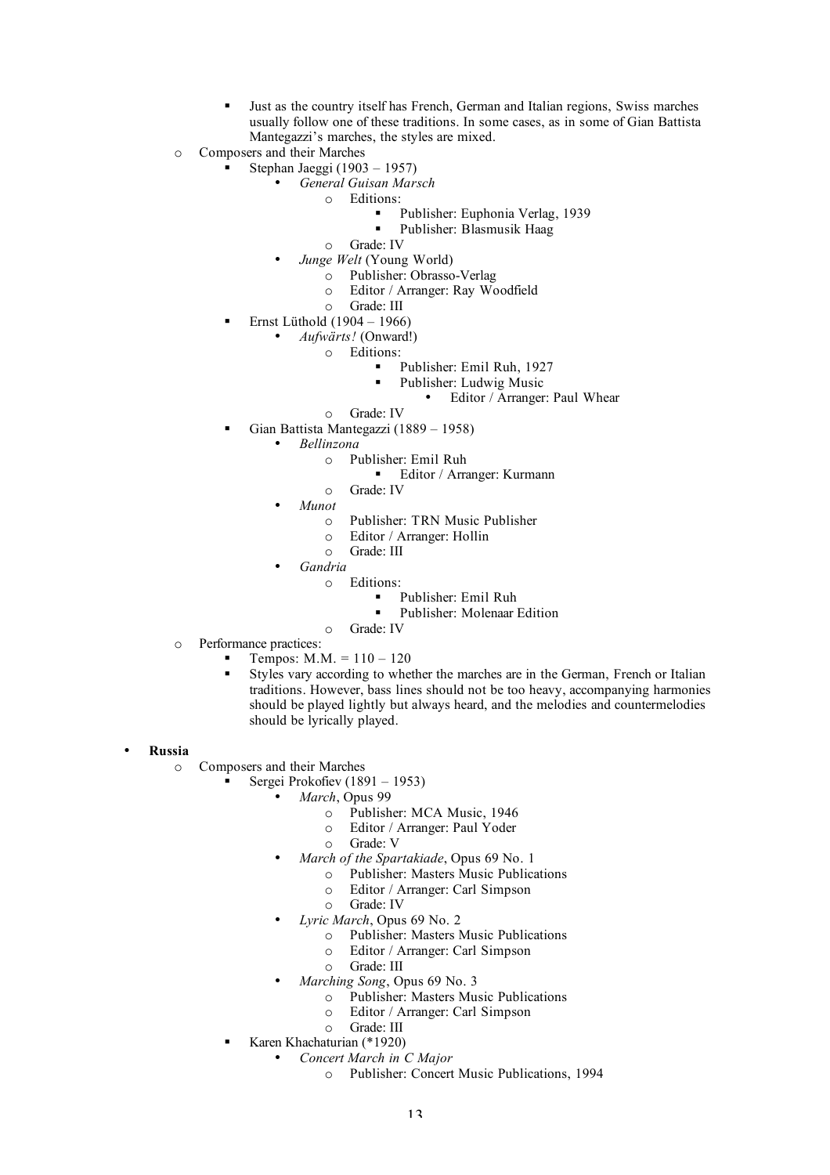- Just as the country itself has French, German and Italian regions, Swiss marches usually follow one of these traditions. In some cases, as in some of Gian Battista Mantegazzi's marches, the styles are mixed.
- o Composers and their Marches
	- Stephan Jaeggi (1903 1957)
		- *General Guisan Marsch*
			- o Editions:
				- **Publisher: Euphonia Verlag, 1939**<br>Publisher: Blasmusik Haag
					- Publisher: Blasmusik Haag
			- o Grade: IV
			- *Junge Welt* (Young World)
				- o Publisher: Obrasso-Verlag
				- o Editor / Arranger: Ray Woodfield
				- o Grade: III
		- Ernst Lüthold (1904 1966)
			- *Aufwärts!* (Onward!)
				- o Editions:
					- Publisher: Emil Ruh, 1927
					- Publisher: Ludwig Music
						- Editor / Arranger: Paul Whear
				- o Grade: IV
	- Gian Battista Mantegazzi (1889 1958)
		- *Bellinzona*
			- o Publisher: Emil Ruh
				- Editor / Arranger: Kurmann
			- o Grade: IV
			- *Munot*
				- o Publisher: TRN Music Publisher
				- o Editor / Arranger: Hollin
				- o Grade: III
			- *Gandria*
				- o Editions:
					- Publisher: Emil Ruh<br>Publisher: Molenear
					- Publisher: Molenaar Edition
				- o Grade: IV
- o Performance practices:
	- **Tempos:**  $M.M. = 110 120$
	- Styles vary according to whether the marches are in the German, French or Italian traditions. However, bass lines should not be too heavy, accompanying harmonies should be played lightly but always heard, and the melodies and countermelodies should be lyrically played.

#### • **Russia**

- o Composers and their Marches
	- Sergei Prokofiev (1891 1953)
		- *March*, Opus 99
			- o Publisher: MCA Music, 1946
			- o Editor / Arranger: Paul Yoder
			- o Grade: V
		- *March of the Spartakiade*, Opus 69 No. 1
			- o Publisher: Masters Music Publications
			- o Editor / Arranger: Carl Simpson
			- o Grade: IV
		- *Lyric March*, Opus 69 No. 2
			- o Publisher: Masters Music Publications
			- o Editor / Arranger: Carl Simpson
			- o Grade: III
		- *Marching Song*, Opus 69 No. 3
			- o Publisher: Masters Music Publications
			- o Editor / Arranger: Carl Simpson
			- o Grade: III
	- Karen Khachaturian (\*1920)
		- *Concert March in C Major*
			- o Publisher: Concert Music Publications, 1994